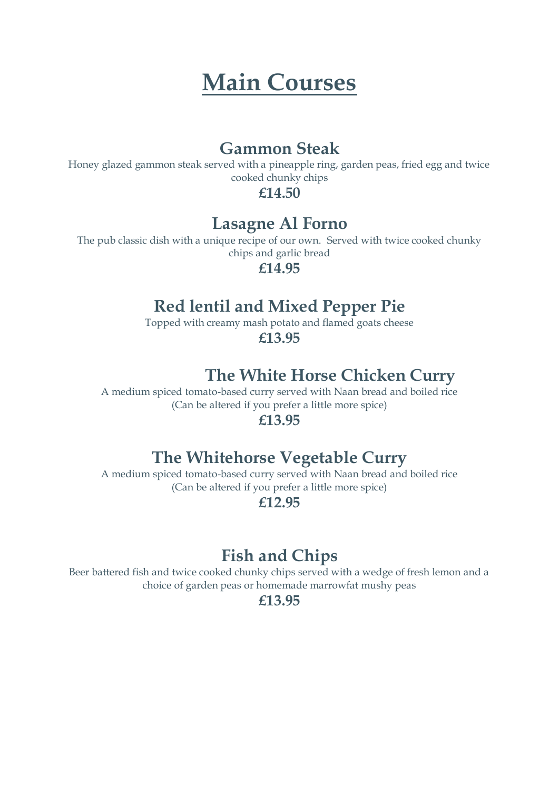## **Main Courses**

#### **Gammon Steak**

Honey glazed gammon steak served with a pineapple ring, garden peas, fried egg and twice cooked chunky chips

**£14.50**

#### **Lasagne Al Forno**

The pub classic dish with a unique recipe of our own. Served with twice cooked chunky chips and garlic bread

**£14.95**

## **Red lentil and Mixed Pepper Pie**

Topped with creamy mash potato and flamed goats cheese **£13.95**

## **The White Horse Chicken Curry**

A medium spiced tomato-based curry served with Naan bread and boiled rice (Can be altered if you prefer a little more spice)

#### **£13.95**

## **The Whitehorse Vegetable Curry**

A medium spiced tomato-based curry served with Naan bread and boiled rice (Can be altered if you prefer a little more spice)

**£12.95**

## **Fish and Chips**

Beer battered fish and twice cooked chunky chips served with a wedge of fresh lemon and a choice of garden peas or homemade marrowfat mushy peas

**£13.95**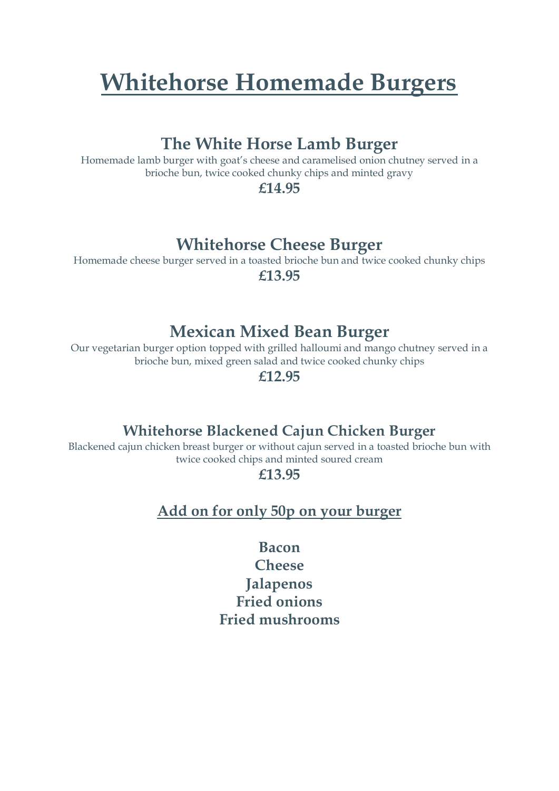# **Whitehorse Homemade Burgers**

#### **The White Horse Lamb Burger**

Homemade lamb burger with goat's cheese and caramelised onion chutney served in a brioche bun, twice cooked chunky chips and minted gravy

**£14.95**

## **Whitehorse Cheese Burger**

Homemade cheese burger served in a toasted brioche bun and twice cooked chunky chips **£13.95**

#### **Mexican Mixed Bean Burger**

Our vegetarian burger option topped with grilled halloumi and mango chutney served in a brioche bun, mixed green salad and twice cooked chunky chips

**£12.95**

#### **Whitehorse Blackened Cajun Chicken Burger**

Blackened cajun chicken breast burger or without cajun served in a toasted brioche bun with twice cooked chips and minted soured cream

**£13.95**

**Add on for only 50p on your burger**

**Bacon Cheese Jalapenos Fried onions Fried mushrooms**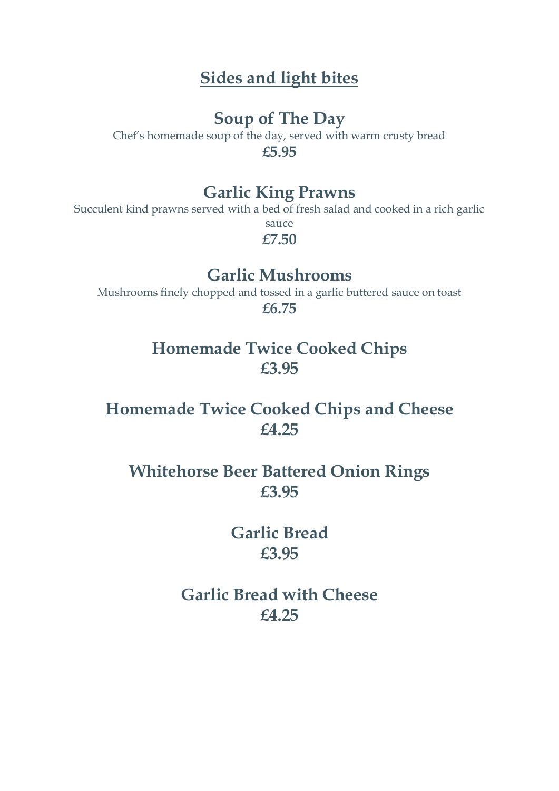## **Sides and light bites**

#### **Soup of The Day**

Chef's homemade soup of the day, served with warm crusty bread **£5.95**

#### **Garlic King Prawns**

Succulent kind prawns served with a bed of fresh salad and cooked in a rich garlic sauce

**£7.50**

### **Garlic Mushrooms**

Mushrooms finely chopped and tossed in a garlic buttered sauce on toast **£6.75**

### **Homemade Twice Cooked Chips £3.95**

## **Homemade Twice Cooked Chips and Cheese £4.25**

## **Whitehorse Beer Battered Onion Rings £3.95**

## **Garlic Bread £3.95**

## **Garlic Bread with Cheese £4.25**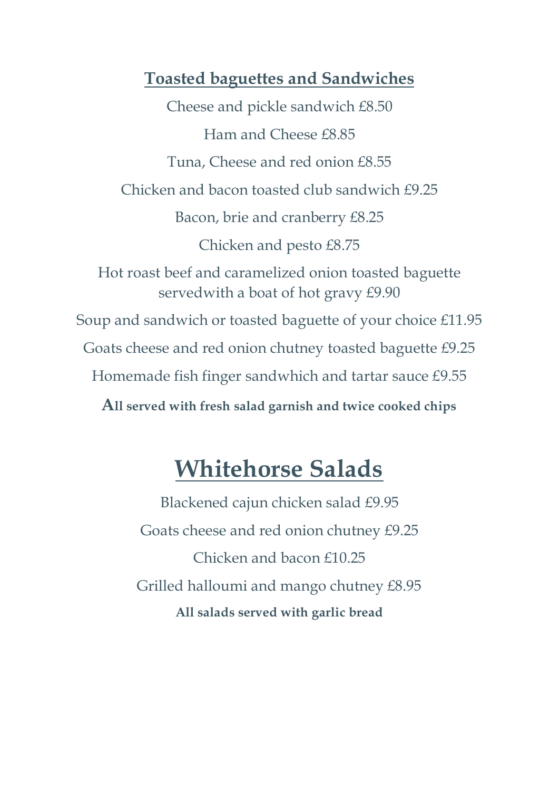#### **Toasted baguettes and Sandwiches**

Cheese and pickle sandwich £8.50 Ham and Cheese £8.85 Tuna, Cheese and red onion £8.55 Chicken and bacon toasted club sandwich £9.25 Bacon, brie and cranberry £8.25 Chicken and pesto £8.75 Hot roast beef and caramelized onion toasted baguette servedwith a boat of hot gravy £9.90 Soup and sandwich or toasted baguette of your choice £11.95 Goats cheese and red onion chutney toasted baguette £9.25 Homemade fish finger sandwhich and tartar sauce £9.55 **All served with fresh salad garnish and twice cooked chips**

## **Whitehorse Salads**

Blackened cajun chicken salad £9.95 Goats cheese and red onion chutney £9.25 Chicken and bacon £10.25 Grilled halloumi and mango chutney £8.95 **All salads served with garlic bread**